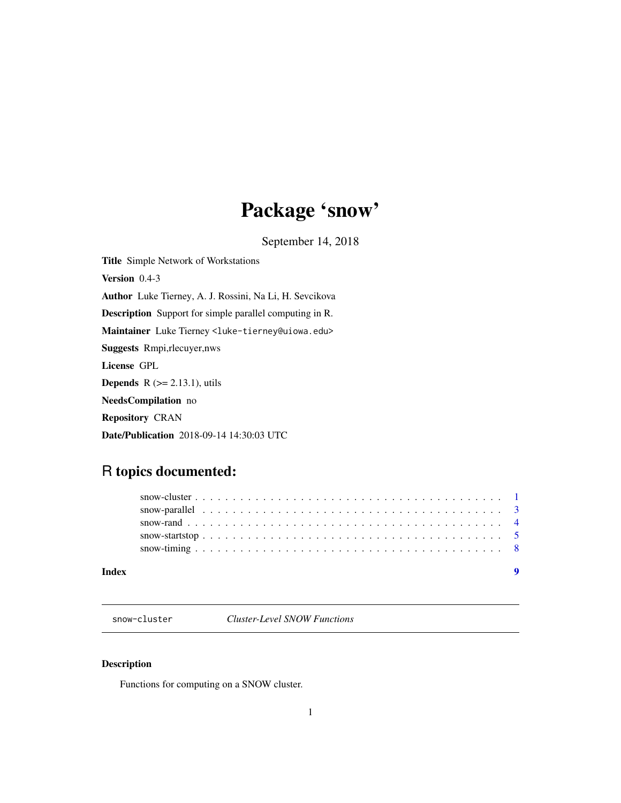## Package 'snow'

September 14, 2018

<span id="page-0-0"></span>Title Simple Network of Workstations Version 0.4-3 Author Luke Tierney, A. J. Rossini, Na Li, H. Sevcikova Description Support for simple parallel computing in R. Maintainer Luke Tierney <luke-tierney@uiowa.edu> Suggests Rmpi,rlecuyer,nws License GPL **Depends**  $R$  ( $>= 2.13.1$ ), utils NeedsCompilation no Repository CRAN Date/Publication 2018-09-14 14:30:03 UTC

### R topics documented:

| Index |  |  |  |  |  |  |  |  |  |  |  |  |  |  |  |  |  |  |  |  |
|-------|--|--|--|--|--|--|--|--|--|--|--|--|--|--|--|--|--|--|--|--|
|       |  |  |  |  |  |  |  |  |  |  |  |  |  |  |  |  |  |  |  |  |
|       |  |  |  |  |  |  |  |  |  |  |  |  |  |  |  |  |  |  |  |  |
|       |  |  |  |  |  |  |  |  |  |  |  |  |  |  |  |  |  |  |  |  |
|       |  |  |  |  |  |  |  |  |  |  |  |  |  |  |  |  |  |  |  |  |
|       |  |  |  |  |  |  |  |  |  |  |  |  |  |  |  |  |  |  |  |  |

snow-cluster *Cluster-Level SNOW Functions*

### Description

Functions for computing on a SNOW cluster.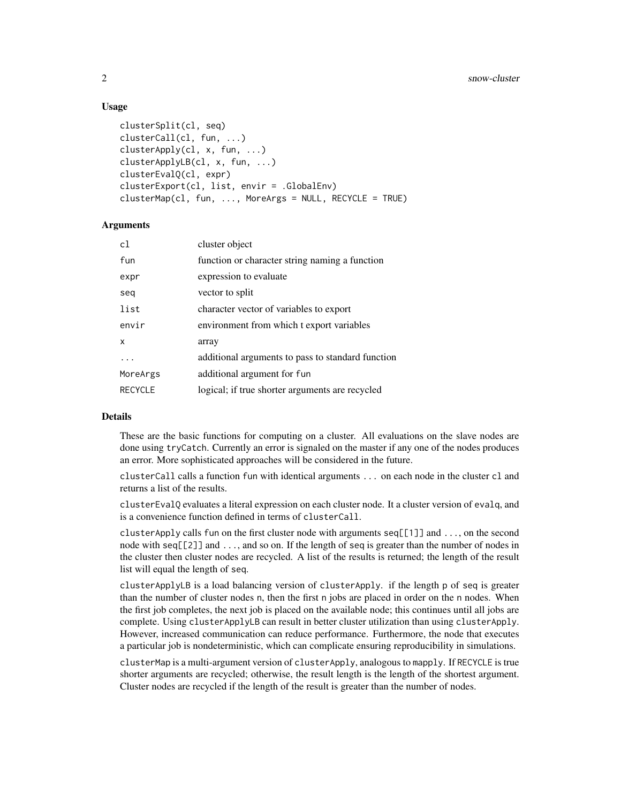#### Usage

```
clusterSplit(cl, seq)
clusterCall(cl, fun, ...)
clusterApply(cl, x, fun, ...)
clusterApplyLB(cl, x, fun, ...)
clusterEvalQ(cl, expr)
clusterExport(cl, list, envir = .GlobalEnv)
clusterMap(cl, fun, ..., MoreArgs = NULL, RECYCLE = TRUE)
```
#### **Arguments**

| c1             | cluster object                                    |
|----------------|---------------------------------------------------|
| fun            | function or character string naming a function    |
| expr           | expression to evaluate                            |
| seq            | vector to split                                   |
| list           | character vector of variables to export           |
| envir          | environment from which t export variables         |
| x              | array                                             |
| .              | additional arguments to pass to standard function |
| MoreArgs       | additional argument for fun                       |
| <b>RECYCLE</b> | logical; if true shorter arguments are recycled   |
|                |                                                   |

#### Details

These are the basic functions for computing on a cluster. All evaluations on the slave nodes are done using tryCatch. Currently an error is signaled on the master if any one of the nodes produces an error. More sophisticated approaches will be considered in the future.

clusterCall calls a function fun with identical arguments ... on each node in the cluster cl and returns a list of the results.

clusterEvalQ evaluates a literal expression on each cluster node. It a cluster version of evalq, and is a convenience function defined in terms of clusterCall.

clusterApply calls fun on the first cluster node with arguments seq[[1]] and ..., on the second node with seq[[2]] and ..., and so on. If the length of seq is greater than the number of nodes in the cluster then cluster nodes are recycled. A list of the results is returned; the length of the result list will equal the length of seq.

clusterApplyLB is a load balancing version of clusterApply. if the length p of seq is greater than the number of cluster nodes n, then the first n jobs are placed in order on the n nodes. When the first job completes, the next job is placed on the available node; this continues until all jobs are complete. Using clusterApplyLB can result in better cluster utilization than using clusterApply. However, increased communication can reduce performance. Furthermore, the node that executes a particular job is nondeterministic, which can complicate ensuring reproducibility in simulations.

clusterMap is a multi-argument version of clusterApply, analogous to mapply. If RECYCLE is true shorter arguments are recycled; otherwise, the result length is the length of the shortest argument. Cluster nodes are recycled if the length of the result is greater than the number of nodes.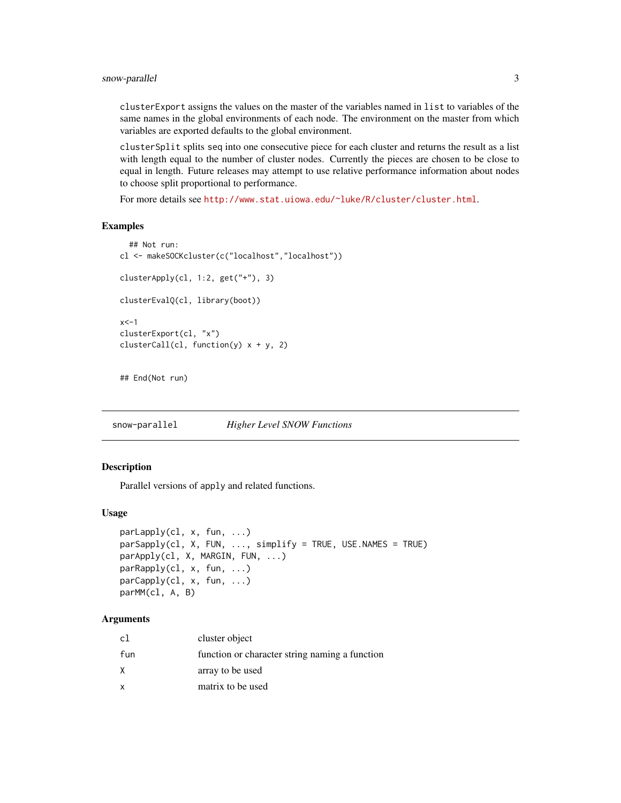<span id="page-2-0"></span>clusterExport assigns the values on the master of the variables named in list to variables of the same names in the global environments of each node. The environment on the master from which variables are exported defaults to the global environment.

clusterSplit splits seq into one consecutive piece for each cluster and returns the result as a list with length equal to the number of cluster nodes. Currently the pieces are chosen to be close to equal in length. Future releases may attempt to use relative performance information about nodes to choose split proportional to performance.

For more details see <http://www.stat.uiowa.edu/~luke/R/cluster/cluster.html>.

#### Examples

```
## Not run:
cl <- makeSOCKcluster(c("localhost","localhost"))
clusterApply(cl, 1:2, get("+"), 3)
clusterEvalQ(cl, library(boot))
x < -1clusterExport(cl, "x")
clusterCall(cl, function(y) x + y, 2)
## End(Not run)
```
snow-parallel *Higher Level SNOW Functions*

#### Description

Parallel versions of apply and related functions.

#### Usage

```
parLapply(cl, x, fun, ...)
parSapply(cl, X, FUN, ..., simplify = TRUE, USE.NAMES = TRUE)
parApply(cl, X, MARGIN, FUN, ...)
parRapply(cl, x, fun, ...)
parCapply(cl, x, fun, ...)parMM(cl, A, B)
```
#### Arguments

| cl  | cluster object                                 |
|-----|------------------------------------------------|
| fun | function or character string naming a function |
| Χ   | array to be used                               |
| x   | matrix to be used                              |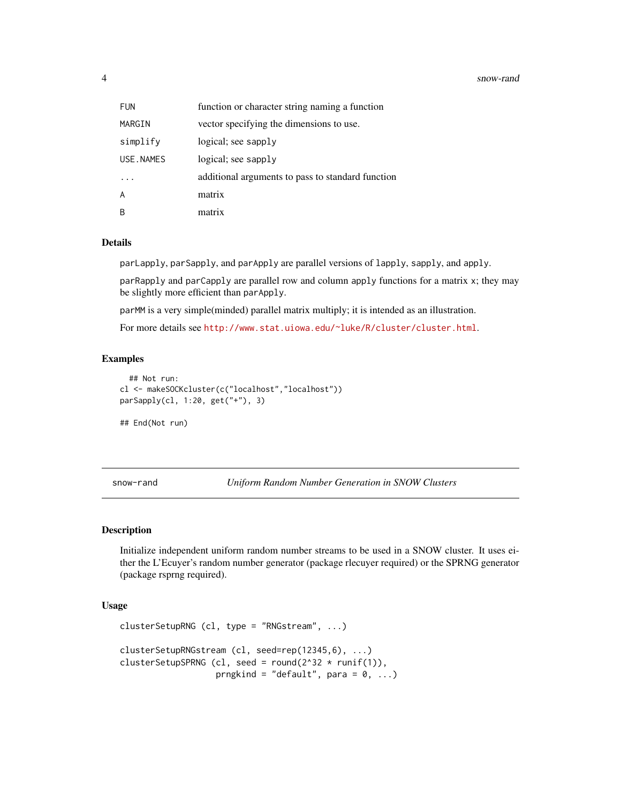#### <span id="page-3-0"></span>4 snow-rand snow-rand snow-rand snow-rand snow-rand snow-rand snow-rand snow-rand snow-rand snow-rand snow-rand

| <b>FUN</b> | function or character string naming a function    |
|------------|---------------------------------------------------|
| MARGIN     | vector specifying the dimensions to use.          |
| simplify   | logical; see sapply                               |
| USE, NAMES | logical; see sapply                               |
|            | additional arguments to pass to standard function |
| A          | matrix                                            |
| R          | matrix                                            |

#### Details

parLapply, parSapply, and parApply are parallel versions of lapply, sapply, and apply.

parRapply and parCapply are parallel row and column apply functions for a matrix x; they may be slightly more efficient than parApply.

parMM is a very simple(minded) parallel matrix multiply; it is intended as an illustration.

For more details see <http://www.stat.uiowa.edu/~luke/R/cluster/cluster.html>.

#### Examples

```
## Not run:
cl <- makeSOCKcluster(c("localhost","localhost"))
parSapply(cl, 1:20, get("+"), 3)
## End(Not run)
```
snow-rand *Uniform Random Number Generation in SNOW Clusters*

#### Description

Initialize independent uniform random number streams to be used in a SNOW cluster. It uses either the L'Ecuyer's random number generator (package rlecuyer required) or the SPRNG generator (package rsprng required).

#### Usage

```
clusterSetupRNG (cl, type = "RNGstream", ...)
clusterSetupRNGstream (cl, seed=rep(12345,6), ...)
clusterSetupSPRNG (cl, seed = round(2^32 \times runif(1)),
                   prngkind = "default", para = 0, ...)
```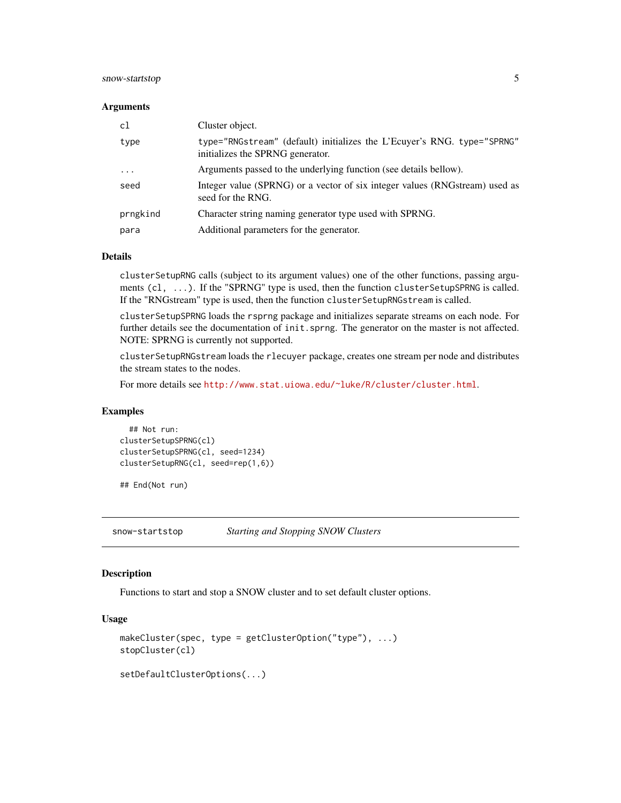#### <span id="page-4-0"></span>snow-startstop 5

#### **Arguments**

| c1                      | Cluster object.                                                                                             |
|-------------------------|-------------------------------------------------------------------------------------------------------------|
| type                    | type="RNGstream" (default) initializes the L'Ecuver's RNG. type="SPRNG"<br>initializes the SPRNG generator. |
| $\cdot$ $\cdot$ $\cdot$ | Arguments passed to the underlying function (see details bellow).                                           |
| seed                    | Integer value (SPRNG) or a vector of six integer values (RNGstream) used as<br>seed for the RNG.            |
| prngkind                | Character string naming generator type used with SPRNG.                                                     |
| para                    | Additional parameters for the generator.                                                                    |

#### Details

clusterSetupRNG calls (subject to its argument values) one of the other functions, passing arguments (cl, ...). If the "SPRNG" type is used, then the function clusterSetupSPRNG is called. If the "RNGstream" type is used, then the function clusterSetupRNGstream is called.

clusterSetupSPRNG loads the rsprng package and initializes separate streams on each node. For further details see the documentation of init. sprng. The generator on the master is not affected. NOTE: SPRNG is currently not supported.

clusterSetupRNGstream loads the rlecuyer package, creates one stream per node and distributes the stream states to the nodes.

For more details see <http://www.stat.uiowa.edu/~luke/R/cluster/cluster.html>.

#### Examples

## Not run: clusterSetupSPRNG(cl) clusterSetupSPRNG(cl, seed=1234) clusterSetupRNG(cl, seed=rep(1,6))

## End(Not run)

snow-startstop *Starting and Stopping SNOW Clusters*

#### Description

Functions to start and stop a SNOW cluster and to set default cluster options.

#### Usage

```
makeCluster(spec, type = getClusterOption("type"), ...)
stopCluster(cl)
setDefaultClusterOptions(...)
```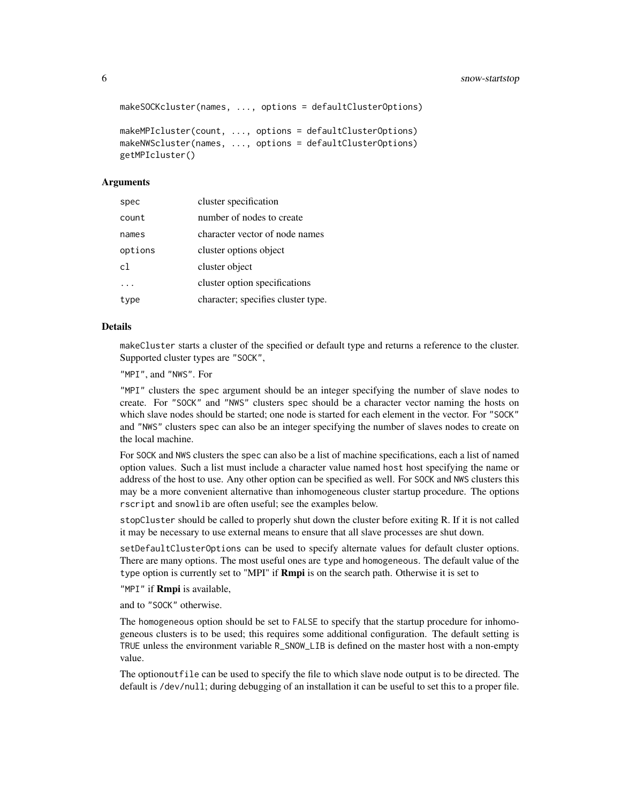```
makeSOCKcluster(names, ..., options = defaultClusterOptions)
```

```
makeMPIcluster(count, ..., options = defaultClusterOptions)
makeNWScluster(names, ..., options = defaultClusterOptions)
getMPIcluster()
```
#### Arguments

| spec           | cluster specification              |
|----------------|------------------------------------|
| count          | number of nodes to create          |
| names          | character vector of node names     |
| options        | cluster options object             |
| c <sub>1</sub> | cluster object                     |
|                | cluster option specifications      |
| type           | character; specifies cluster type. |

#### Details

makeCluster starts a cluster of the specified or default type and returns a reference to the cluster. Supported cluster types are "SOCK",

"MPI", and "NWS". For

"MPI" clusters the spec argument should be an integer specifying the number of slave nodes to create. For "SOCK" and "NWS" clusters spec should be a character vector naming the hosts on which slave nodes should be started; one node is started for each element in the vector. For "SOCK" and "NWS" clusters spec can also be an integer specifying the number of slaves nodes to create on the local machine.

For SOCK and NWS clusters the spec can also be a list of machine specifications, each a list of named option values. Such a list must include a character value named host host specifying the name or address of the host to use. Any other option can be specified as well. For SOCK and NWS clusters this may be a more convenient alternative than inhomogeneous cluster startup procedure. The options rscript and snowlib are often useful; see the examples below.

stopCluster should be called to properly shut down the cluster before exiting R. If it is not called it may be necessary to use external means to ensure that all slave processes are shut down.

setDefaultClusterOptions can be used to specify alternate values for default cluster options. There are many options. The most useful ones are type and homogeneous. The default value of the type option is currently set to "MPI" if **Rmpi** is on the search path. Otherwise it is set to

"MPI" if **Rmpi** is available.

and to "SOCK" otherwise.

The homogeneous option should be set to FALSE to specify that the startup procedure for inhomogeneous clusters is to be used; this requires some additional configuration. The default setting is TRUE unless the environment variable R\_SNOW\_LIB is defined on the master host with a non-empty value.

The optionoutfile can be used to specify the file to which slave node output is to be directed. The default is /dev/null; during debugging of an installation it can be useful to set this to a proper file.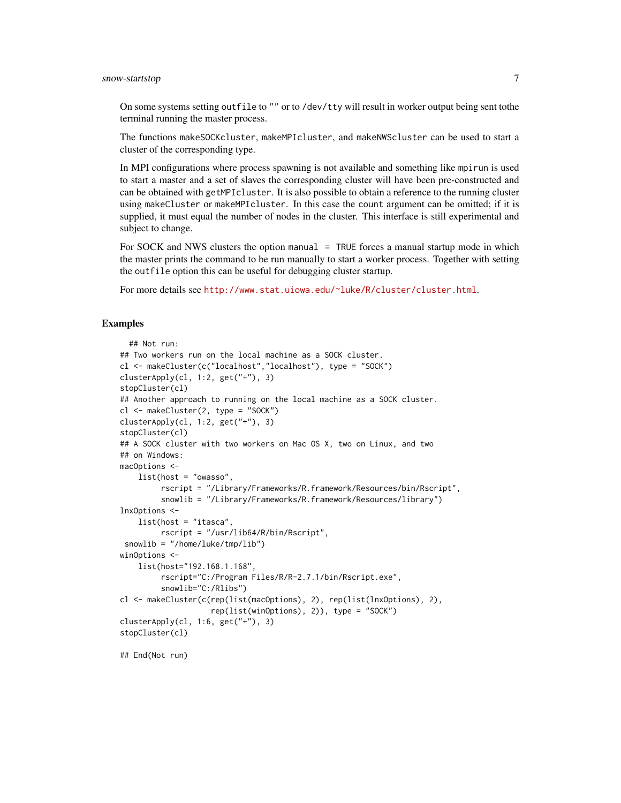#### snow-startstop 7

On some systems setting out file to "" or to /dev/tty will result in worker output being sent to the terminal running the master process.

The functions makeSOCKcluster, makeMPIcluster, and makeNWScluster can be used to start a cluster of the corresponding type.

In MPI configurations where process spawning is not available and something like mpirun is used to start a master and a set of slaves the corresponding cluster will have been pre-constructed and can be obtained with getMPIcluster. It is also possible to obtain a reference to the running cluster using makeCluster or makeMPIcluster. In this case the count argument can be omitted; if it is supplied, it must equal the number of nodes in the cluster. This interface is still experimental and subject to change.

For SOCK and NWS clusters the option manual = TRUE forces a manual startup mode in which the master prints the command to be run manually to start a worker process. Together with setting the outfile option this can be useful for debugging cluster startup.

For more details see <http://www.stat.uiowa.edu/~luke/R/cluster/cluster.html>.

#### Examples

```
## Not run:
## Two workers run on the local machine as a SOCK cluster.
cl <- makeCluster(c("localhost","localhost"), type = "SOCK")
clusterApply(cl, 1:2, get("+"), 3)
stopCluster(cl)
## Another approach to running on the local machine as a SOCK cluster.
cl <- makeCluster(2, type = "SOCK")
clusterApply(cl, 1:2, get("+"), 3)
stopCluster(cl)
## A SOCK cluster with two workers on Mac OS X, two on Linux, and two
## on Windows:
macOptions <-
    list(host = "owasso",
        rscript = "/Library/Frameworks/R.framework/Resources/bin/Rscript",
         snowlib = "/Library/Frameworks/R.framework/Resources/library")
lnxOptions <-
   list(host = "itasca",
        rscript = "/usr/lib64/R/bin/Rscript",
snowlib = "/home/luke/tmp/lib")
winOptions <-
   list(host="192.168.1.168",
         rscript="C:/Program Files/R/R-2.7.1/bin/Rscript.exe",
         snowlib="C:/Rlibs")
cl <- makeCluster(c(rep(list(macOptions), 2), rep(list(lnxOptions), 2),
                   rep(list(winOptions), 2)), type = "SOCK")
clusterApply(cl, 1:6, get("+"), 3)
stopCluster(cl)
```
## End(Not run)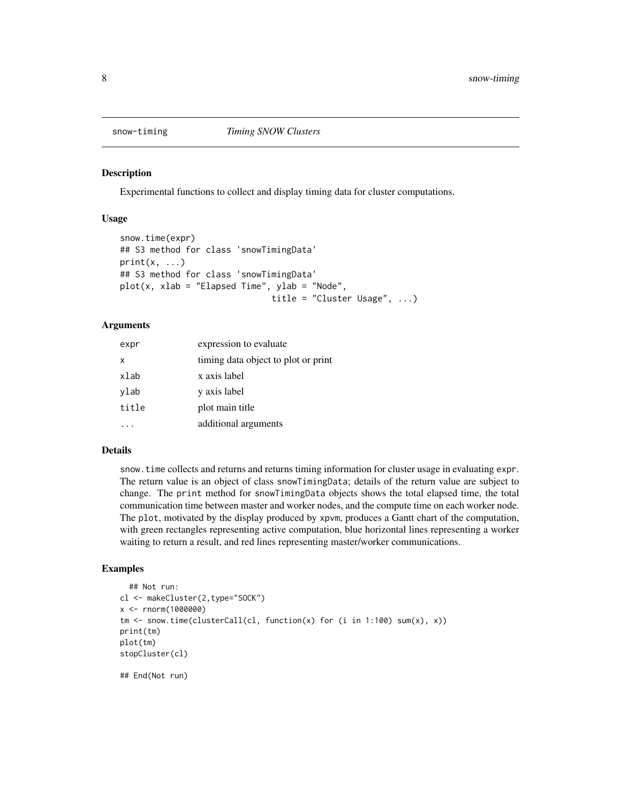<span id="page-7-0"></span>

#### Description

Experimental functions to collect and display timing data for cluster computations.

#### Usage

```
snow.time(expr)
## S3 method for class 'snowTimingData'
print(x, \ldots)## S3 method for class 'snowTimingData'
plot(x, xlab = "Elapped Time", ylab = "Node",title = "Cluster Usage", ...)
```
#### Arguments

| expr  | expression to evaluate              |
|-------|-------------------------------------|
| x     | timing data object to plot or print |
| xlab  | x axis label                        |
| ylab  | y axis label                        |
| title | plot main title                     |
|       | additional arguments                |

#### Details

snow.time collects and returns and returns timing information for cluster usage in evaluating expr. The return value is an object of class snowTimingData; details of the return value are subject to change. The print method for snowTimingData objects shows the total elapsed time, the total communication time between master and worker nodes, and the compute time on each worker node. The plot, motivated by the display produced by xpvm, produces a Gantt chart of the computation, with green rectangles representing active computation, blue horizontal lines representing a worker waiting to return a result, and red lines representing master/worker communications.

#### Examples

```
## Not run:
cl <- makeCluster(2,type="SOCK")
x <- rnorm(1000000)
tm <- snow.time(clusterCall(cl, function(x) for (i in 1:100) sum(x), x))
print(tm)
plot(tm)
stopCluster(cl)
## End(Not run)
```